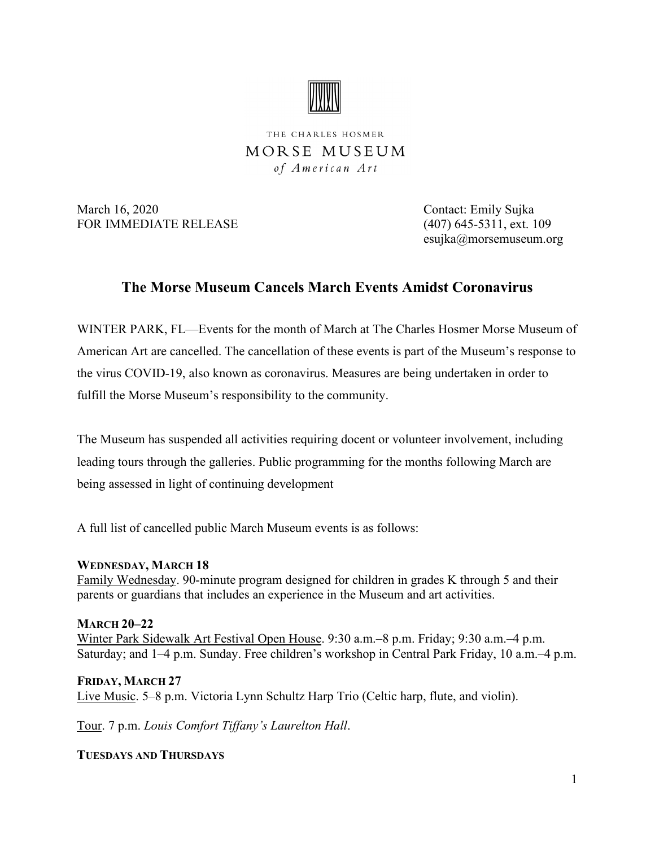

THE CHARLES HOSMER MORSE MUSEUM of American Art

March 16, 2020 Contact: Emily Sujka FOR IMMEDIATE RELEASE (407) 645-5311, ext. 109

esujka@morsemuseum.org

## **The Morse Museum Cancels March Events Amidst Coronavirus**

WINTER PARK, FL—Events for the month of March at The Charles Hosmer Morse Museum of American Art are cancelled. The cancellation of these events is part of the Museum's response to the virus COVID-19, also known as coronavirus. Measures are being undertaken in order to fulfill the Morse Museum's responsibility to the community.

The Museum has suspended all activities requiring docent or volunteer involvement, including leading tours through the galleries. Public programming for the months following March are being assessed in light of continuing development

A full list of cancelled public March Museum events is as follows:

**WEDNESDAY, MARCH 18**

Family Wednesday. 90-minute program designed for children in grades K through 5 and their parents or guardians that includes an experience in the Museum and art activities.

**MARCH 20–22** Winter Park Sidewalk Art Festival Open House. 9:30 a.m.–8 p.m. Friday; 9:30 a.m.–4 p.m. Saturday; and 1–4 p.m. Sunday. Free children's workshop in Central Park Friday, 10 a.m.–4 p.m.

**FRIDAY, MARCH 27** Live Music. 5–8 p.m. Victoria Lynn Schultz Harp Trio (Celtic harp, flute, and violin).

Tour. 7 p.m. *Louis Comfort Tiffany's Laurelton Hall*.

**TUESDAYS AND THURSDAYS**